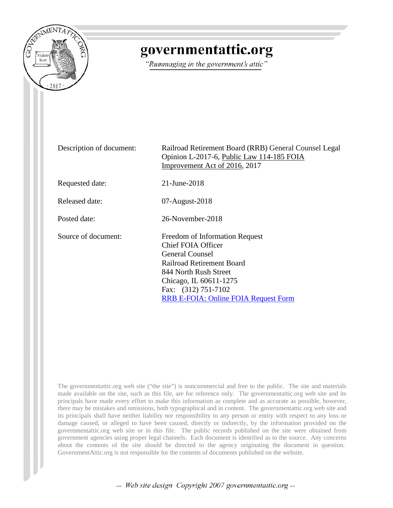

# governmentattic.org

"Rummaging in the government's attic"

| Description of document: | Railroad Retirement Board (RRB) General Counsel Legal<br>Opinion L-2017-6, Public Law 114-185 FOIA<br>Improvement Act of 2016, 2017                                                                                                                |
|--------------------------|----------------------------------------------------------------------------------------------------------------------------------------------------------------------------------------------------------------------------------------------------|
| Requested date:          | $21 - \text{June} - 2018$                                                                                                                                                                                                                          |
| Released date:           | $07$ -August- $2018$                                                                                                                                                                                                                               |
| Posted date:             | 26-November-2018                                                                                                                                                                                                                                   |
| Source of document:      | Freedom of Information Request<br><b>Chief FOIA Officer</b><br><b>General Counsel</b><br><b>Railroad Retirement Board</b><br>844 North Rush Street<br>Chicago, IL 60611-1275<br>Fax: (312) 751-7102<br><b>RRB E-FOIA: Online FOIA Request Form</b> |

The governmentattic.org web site ("the site") is noncommercial and free to the public. The site and materials made available on the site, such as this file, are for reference only. The governmentattic.org web site and its principals have made every effort to make this information as complete and as accurate as possible, however, there may be mistakes and omissions, both typographical and in content. The governmentattic.org web site and its principals shall have neither liability nor responsibility to any person or entity with respect to any loss or damage caused, or alleged to have been caused, directly or indirectly, by the information provided on the governmentattic.org web site or in this file. The public records published on the site were obtained from government agencies using proper legal channels. Each document is identified as to the source. Any concerns about the contents of the site should be directed to the agency originating the document in question. GovernmentAttic.org is not responsible for the contents of documents published on the website.

-- Web site design Copyright 2007 governmentattic.org --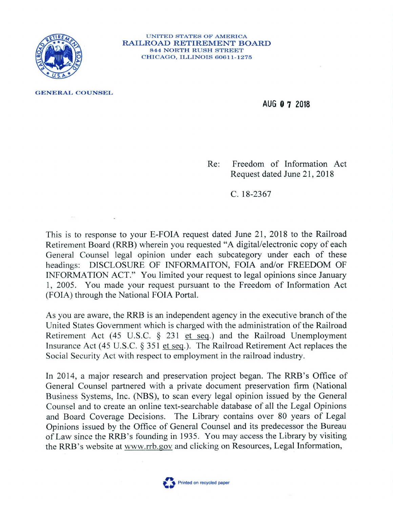

UNITED STATES OF AMERICA RAILROAD RETIREMENT BOARD 844 NORTH RUSH STREET CHICAGO, ILLINOIS 60611-1275

**GENERAL COUNSEL** 

**AUG O 7 2018** 

Re: Freedom of Information Act Request dated June 21, 2018

C. 18-2367

This is to response to your E-FOIA request dated June 21, 2018 to the Railroad Retirement Board (RRB) wherein you requested "A digital/electronic copy of each General Counsel legal opinion under each subcategory under each of these headings: DISCLOSURE OF INFORMAITON, FOIA and/or FREEDOM OF INFORMATION ACT." You limited your request to legal opinions since January 1, 2005. You made your request pursuant to the Freedom of Information Act (FOIA) through the National FOIA Portal.

As you are aware, the RRB is an independent agency in the executive branch of the United States Government which is charged with the administration of the Railroad Retirement Act  $(45 \text{ U.S.C. } § 231 \text{ et seq.})$  and the Railroad Unemployment Insurance Act (45 U.S.C.  $\S$  351 et seq.). The Railroad Retirement Act replaces the Social Security Act with respect to employment in the railroad industry.

In 2014, a major research and preservation project began. The RRB's Office of General Counsel partnered with a private document preservation firm (National Business Systems, Inc. (NBS), to scan every legal opinion issued by the General Counsel and to create an online text-searchable database of all the Legal Opinions and Board Coverage Decisions. The Library contains over 80 years of Legal Opinions issued by the Office of General Counsel and its predecessor the Bureau of Law since the RRB's founding in 1935. You may access the Library by visiting the RRB's website at www.rrb.gov and clicking on Resources, Legal Information,

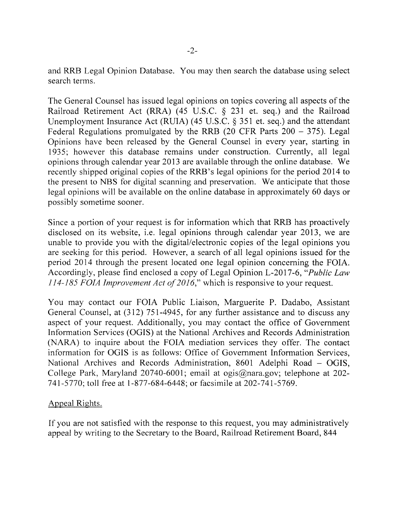and **RRB** Legal Opinion Database. You may then search the database using select search terms.

The General Counsel has issued legal opinions on topics covering all aspects of the Railroad Retirement Act **(RRA)** ( 45 U.S.C. § 231 et. seq.) and the Railroad Unemployment Insurance Act (RUIA) (45 U.S.C. § 351 et. seq.) and the attendant Federal Regulations promulgated by the RRB (20 CFR Parts  $200 - 375$ ). Legal Opinions have been released by the General Counsel in every year, starting in 1935; however this database remains under construction. Currently, all legal opinions through calendar year 2013 are available through the online database. We recently shipped original copies of the RRB's legal opinions for the period 2014 to the present to NBS for digital scanning and preservation. We anticipate that those legal opinions will be available on the online database in approximately 60 days or possibly sometime sooner.

Since a portion of your request is for information which that RRB has proactively disclosed on its website, i.e. legal opinions through calendar year 2013, we are unable to provide you with the digital/electronic copies of the legal opinions you are seeking for this period. However, a search of all legal opinions issued for the period 2014 through the present located one legal opinion concerning the FOIA. Accordingly, please find enclosed a copy of Legal Opinion L-2017-6, *"Public Law 114-185 FOIA Improvement Act of 2016,"* which is responsive to your request.

You may contact our FOIA Public Liaison, Marguerite P. Dadabo, Assistant General Counsel, at (312) 751-4945, for any further assistance and to discuss any aspect of your request. Additionally, you may contact the office of Government Information Services (OGIS) at the National Archives and Records Administration (NARA) to inquire about the FOIA mediation services they offer. The contact information for OGIS is as follows: Office of Government Information Services, National Archives and Records Administration, 8601 Adelphi Road - **OGIS,**  College Park, Maryland 20740-6001; email at ogis@nara.gov; telephone at 202- 741-5770; toll free at 1-877-684-6448; or facsimile at 202-741-5769.

## Appeal Rights.

If you are not satisfied with the response to this request, you may administratively appeal by writing to the Secretary to the Board, Railroad Retirement Board, 844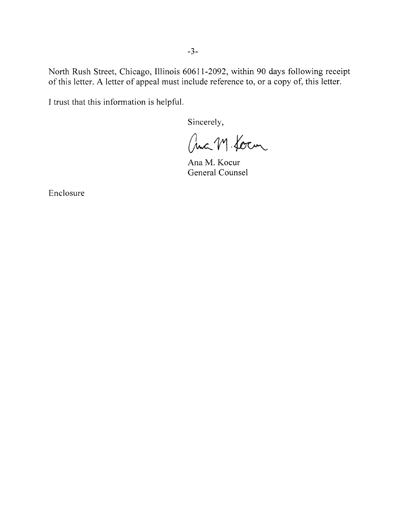North Rush Street, Chicago, Illinois 60611-2092, within 90 days following receipt of this letter. A letter of appeal must include reference to, or a copy of, this letter.

I trust that this information is helpful.

Sincerely,

auch M. Kocm

Ana M. Kocur General Counsel

Enclosure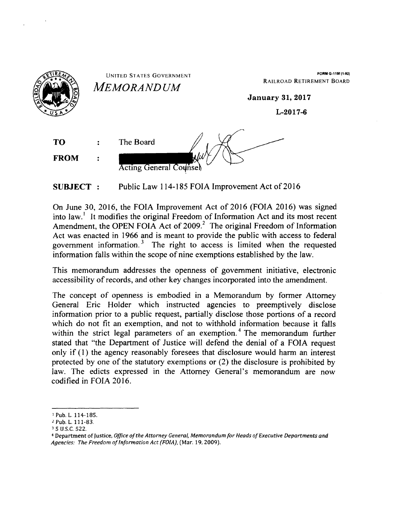

**SUBJECT** : Public Law 114-185 FOIA Improvement Act of 2016

On June 30, 2016, the FOIA Improvement Act of 2016 (FOIA 2016) was signed into law.<sup>1</sup> It modifies the original Freedom of Information Act and its most recent Amendment, the OPEN FOIA Act of 2009.<sup>2</sup> The original Freedom of Information Act was enacted in 1966 and is meant to provide the public with access to federal government information.<sup>3</sup> The right to access is limited when the requested information falls within the scope of nine exemptions established by the Jaw.

This memorandum addresses the openness of government initiative, electronic accessibility of records, and other key changes incorporated into the amendment.

The concept of openness is embodied in a Memorandum by former Attorney General Eric Holder which instructed agencies to preemptively disclose information prior to a public request, partially disclose those portions of a record which do not fit an exemption, and not to withhold information because it falls within the strict legal parameters of an exemption.<sup>4</sup> The memorandum further stated that "the Department of Justice will defend the denial of a FOIA request only if ( 1) the agency reasonably foresees that disclosure would harm an interest protected by one of the statutory exemptions or (2) the disclosure is prohibited by law. The edicts expressed in the Attorney General's memorandum are now codified in FOIA 2016.

<sup>1</sup> Pub. L. 114-185.

<sup>2</sup>Pub. L. 111-83. 3 5 u.s.c. 522.

<sup>4</sup>Department of Justice, *Office of the Attorney General, Memorandum for Heads of Executive Departments and*  Agencies: The Freedom of Information Act (FOIA), (Mar. 19, 2009).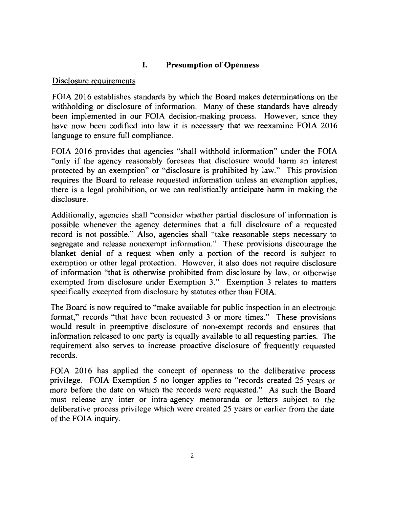## I. **Presumption of Openness**

#### Disclosure requirements

FOIA 2016 establishes standards by which the Board makes determinations on the withholding or disclosure of information. Many of these standards have already been implemented in our FOIA decision-making process. However, since they have now been codified into law it is necessary that we reexamine FOIA 2016 language to ensure full compliance.

FOIA 2016 provides that agencies "shall withhold information" under the FOIA "only if the agency reasonably foresees that disclosure would harm an interest protected by an exemption" or "disclosure is prohibited by law." This provision requires the Board to release requested information unless an exemption applies, there is a legal prohibition, or we can realistically anticipate harm in making the disclosure.

Additionally, agencies shall "consider whether partial disclosure of information is possible whenever the agency determines that a full disclosure of a requested record is not possible." Also, agencies shall "take reasonable steps necessary to segregate and release nonexempt information." These provisions discourage the blanket denial of a request when only a portion of the record is subject to exemption or other legal protection. However, it also does not require disclosure of information "that is otherwise prohibited from disclosure by law, or otherwise exempted from disclosure under Exemption 3." Exemption 3 relates to matters specifically excepted from disclosure by statutes other than FOIA.

The Board is now required to "make available for public inspection in an electronic format," records "that have been requested 3 or more times." These provisions would result in preemptive disclosure of non-exempt records and ensures that information released to one party is equally available to all requesting parties. The requirement also serves to increase proactive disclosure of frequently requested records.

FOIA 2016 has applied the concept of openness to the deliberative process privilege. FOIA Exemption 5 no longer applies to "records created 25 years or more before the date on which the records were requested." As such the Board must release any inter or intra-agency memoranda or letters subject to the deliberative process privilege which were created 25 years or earlier from the date of the FOIA inquiry.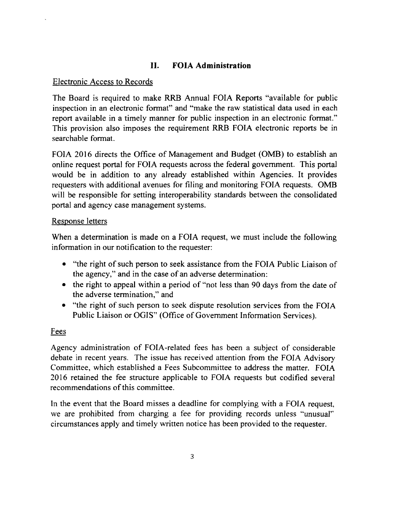# **II. FOIA Administration**

## Electronic Access to Records

The Board is required to make RRB Annual FOIA Reports "available for public inspection in an electronic format" and "make the raw statistical data used in each report available in a timely manner for public inspection in an electronic format." This provision also imposes the requirement RRB FOIA electronic reports be in searchable format.

FOIA 2016 directs the Office of Management and Budget (0MB) to establish an online request portal for FOIA requests across the federal government. This portal would be in addition to any already established within Agencies. It provides requesters with additional avenues for filing and monitoring FOIA requests. 0MB will be responsible for setting interoperability standards between the consolidated portal and agency case management systems.

## Response letters

When a determination is made on a FOIA request, we must include the following information in our notification to the requester:

- "the right of such person to seek assistance from the FOIA Public Liaison of the agency," and in the case of an adverse determination:
- the right to appeal within a period of "not less than 90 days from the date of the adverse termination," and
- "the right of such person to seek dispute resolution services from the FOIA Public Liaison or OGIS" (Office of Government Information Services).

## Fees

Agency administration of FOIA-related fees has been a subject of considerable debate in recent years. The issue has received attention from the FOIA Advisory Committee, which established a Fees Subcommittee to address the matter. FOIA 2016 retained the fee structure applicable to FOIA requests but codified several recommendations of this committee.

In the event that the Board misses a deadline for complying with a FOIA request, we are prohibited from charging a fee for providing records unless "unusual'' circumstances apply and timely written notice has been provided to the requester.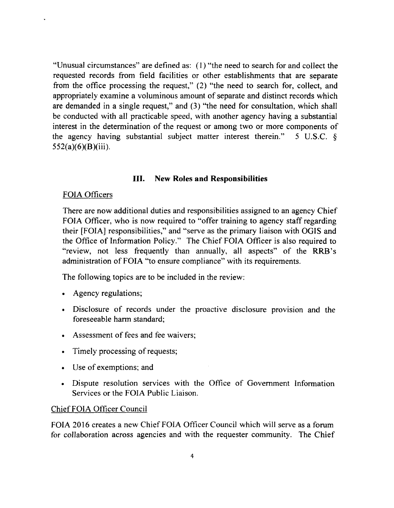"Unusual circumstances" are defined as: (I) "the need to search for and collect the requested records from field facilities or other establishments that are separate from the office processing the request," (2) "the need to search for, collect, and appropriately examine a voluminous amount of separate and distinct records which are demanded in a single request," and (3) "the need for consultation, which shall be conducted with all practicable speed, with another agency having a substantial interest in the determination of the request or among two or more components of the agency having substantial subject matter interest therein." 5 U.S.C.  $\delta$  $552(a)(6)(B)(iii)$ .

## III. **New Roles and Responsibilities**

#### FOIA Officers

There are now additional duties and responsibilities assigned to an agency Chief FOIA Officer, who is now required to "offer training to agency staff regarding their [FOIA] responsibilities," and "serve as the primary liaison with OGIS and the Office of Information Policy." The Chief FOIA Officer is also required to "review, not less frequently than annually, all aspects" of the RRB's administration of FOIA "to ensure compliance" with its requirements.

The following topics are to be included in the review:

- Agency regulations;
- Disclosure of records under the proactive disclosure provision and the foreseeable harm standard;
- Assessment of fees and fee waivers;
- Timely processing of requests;
- Use of exemptions; and
- Dispute resolution services with the Office of Government Information Services or the FOIA Public Liaison.

## Chief FOIA Officer Council

FOIA 2016 creates a new Chief FOIA Officer Council which will serve as a forum for coJiaboration across agencies and with the requester community. The Chief